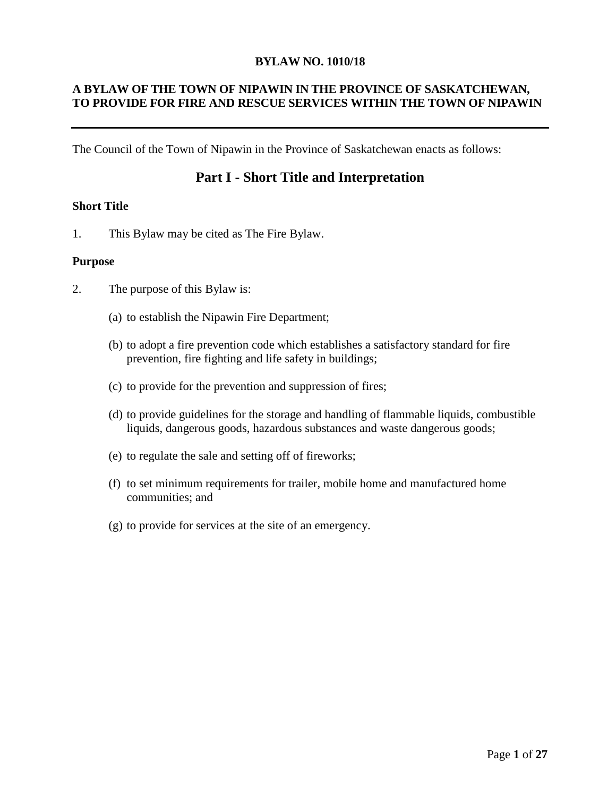#### **BYLAW NO. 1010/18**

# **A BYLAW OF THE TOWN OF NIPAWIN IN THE PROVINCE OF SASKATCHEWAN, TO PROVIDE FOR FIRE AND RESCUE SERVICES WITHIN THE TOWN OF NIPAWIN**

The Council of the Town of Nipawin in the Province of Saskatchewan enacts as follows:

# **Part I - Short Title and Interpretation**

#### **Short Title**

1. This Bylaw may be cited as The Fire Bylaw.

#### **Purpose**

- 2. The purpose of this Bylaw is:
	- (a) to establish the Nipawin Fire Department;
	- (b) to adopt a fire prevention code which establishes a satisfactory standard for fire prevention, fire fighting and life safety in buildings;
	- (c) to provide for the prevention and suppression of fires;
	- (d) to provide guidelines for the storage and handling of flammable liquids, combustible liquids, dangerous goods, hazardous substances and waste dangerous goods;
	- (e) to regulate the sale and setting off of fireworks;
	- (f) to set minimum requirements for trailer, mobile home and manufactured home communities; and
	- (g) to provide for services at the site of an emergency.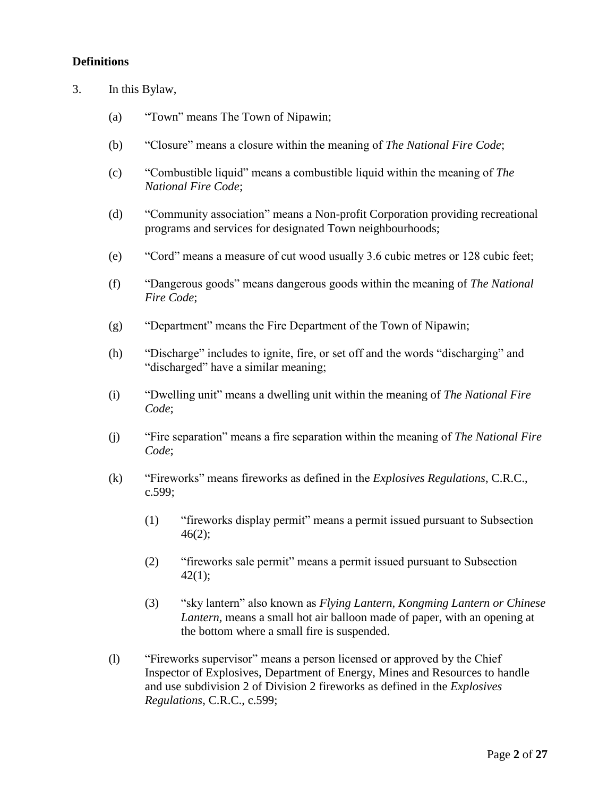# **Definitions**

- 3. In this Bylaw,
	- (a) "Town" means The Town of Nipawin;
	- (b) "Closure" means a closure within the meaning of *The National Fire Code*;
	- (c) "Combustible liquid" means a combustible liquid within the meaning of *The National Fire Code*;
	- (d) "Community association" means a Non-profit Corporation providing recreational programs and services for designated Town neighbourhoods;
	- (e) "Cord" means a measure of cut wood usually 3.6 cubic metres or 128 cubic feet;
	- (f) "Dangerous goods" means dangerous goods within the meaning of *The National Fire Code*;
	- (g) "Department" means the Fire Department of the Town of Nipawin;
	- (h) "Discharge" includes to ignite, fire, or set off and the words "discharging" and "discharged" have a similar meaning;
	- (i) "Dwelling unit" means a dwelling unit within the meaning of *The National Fire Code*;
	- (j) "Fire separation" means a fire separation within the meaning of *The National Fire Code*;
	- (k) "Fireworks" means fireworks as defined in the *Explosives Regulations*, C.R.C., c.599;
		- (1) "fireworks display permit" means a permit issued pursuant to Subsection  $46(2);$
		- (2) "fireworks sale permit" means a permit issued pursuant to Subsection  $42(1);$
		- (3) "sky lantern" also known as *Flying Lantern, Kongming Lantern or Chinese Lantern,* means a small hot air balloon made of paper, with an opening at the bottom where a small fire is suspended.
	- (l) "Fireworks supervisor" means a person licensed or approved by the Chief Inspector of Explosives, Department of Energy, Mines and Resources to handle and use subdivision 2 of Division 2 fireworks as defined in the *Explosives Regulations*, C.R.C., c.599;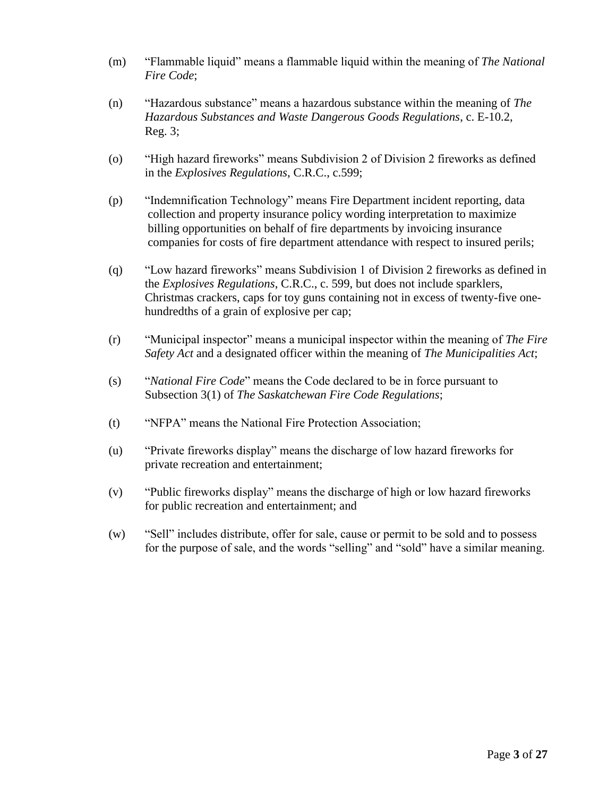- (m) "Flammable liquid" means a flammable liquid within the meaning of *The National Fire Code*;
- (n) "Hazardous substance" means a hazardous substance within the meaning of *The Hazardous Substances and Waste Dangerous Goods Regulations*, c. E-10.2, Reg. 3;
- (o) "High hazard fireworks" means Subdivision 2 of Division 2 fireworks as defined in the *Explosives Regulations*, C.R.C., c.599;
- (p) "Indemnification Technology" means Fire Department incident reporting, data collection and property insurance policy wording interpretation to maximize billing opportunities on behalf of fire departments by invoicing insurance companies for costs of fire department attendance with respect to insured perils;
- (q) "Low hazard fireworks" means Subdivision 1 of Division 2 fireworks as defined in the *Explosives Regulations*, C.R.C., c. 599, but does not include sparklers, Christmas crackers, caps for toy guns containing not in excess of twenty-five onehundredths of a grain of explosive per cap;
- (r) "Municipal inspector" means a municipal inspector within the meaning of *The Fire Safety Act* and a designated officer within the meaning of *The Municipalities Act*;
- (s) "*National Fire Code*" means the Code declared to be in force pursuant to Subsection 3(1) of *The Saskatchewan Fire Code Regulations*;
- (t) "NFPA" means the National Fire Protection Association;
- (u) "Private fireworks display" means the discharge of low hazard fireworks for private recreation and entertainment;
- (v) "Public fireworks display" means the discharge of high or low hazard fireworks for public recreation and entertainment; and
- (w) "Sell" includes distribute, offer for sale, cause or permit to be sold and to possess for the purpose of sale, and the words "selling" and "sold" have a similar meaning.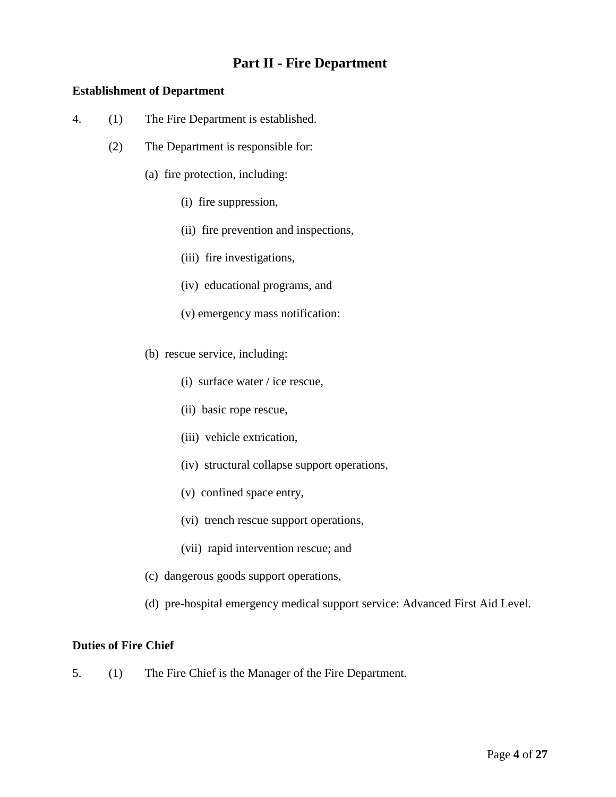# **Part II - Fire Department**

# **Establishment of Department**

- 4. (1) The Fire Department is established.
	- (2) The Department is responsible for:
		- (a) fire protection, including:
			- (i) fire suppression,
			- (ii) fire prevention and inspections,
			- (iii) fire investigations,
			- (iv) educational programs, and
			- (v) emergency mass notification:
		- (b) rescue service, including:
			- (i) surface water / ice rescue,
			- (ii) basic rope rescue,
			- (iii) vehicle extrication,
			- (iv) structural collapse support operations,
			- (v) confined space entry,
			- (vi) trench rescue support operations,
			- (vii) rapid intervention rescue; and
		- (c) dangerous goods support operations,
		- (d) pre-hospital emergency medical support service: Advanced First Aid Level.

# **Duties of Fire Chief**

5. (1) The Fire Chief is the Manager of the Fire Department.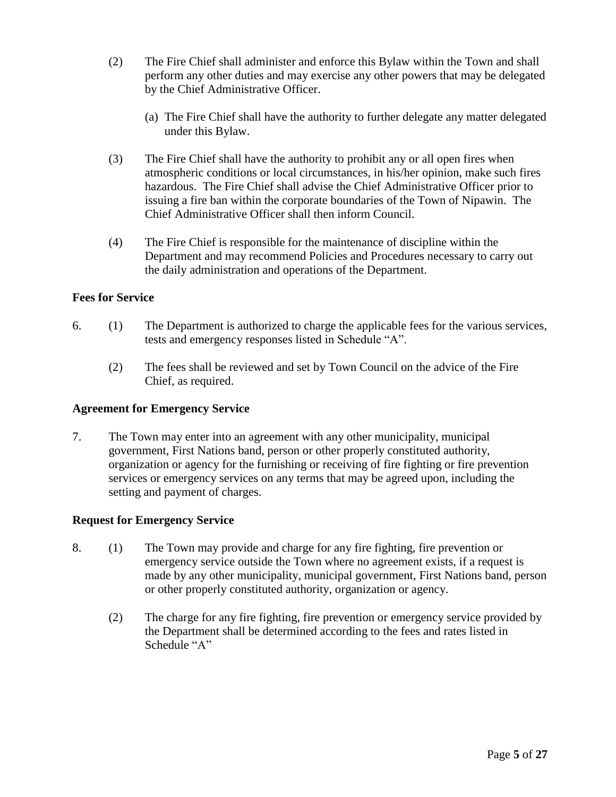- (2) The Fire Chief shall administer and enforce this Bylaw within the Town and shall perform any other duties and may exercise any other powers that may be delegated by the Chief Administrative Officer.
	- (a) The Fire Chief shall have the authority to further delegate any matter delegated under this Bylaw.
- (3) The Fire Chief shall have the authority to prohibit any or all open fires when atmospheric conditions or local circumstances, in his/her opinion, make such fires hazardous. The Fire Chief shall advise the Chief Administrative Officer prior to issuing a fire ban within the corporate boundaries of the Town of Nipawin. The Chief Administrative Officer shall then inform Council.
- (4) The Fire Chief is responsible for the maintenance of discipline within the Department and may recommend Policies and Procedures necessary to carry out the daily administration and operations of the Department.

# **Fees for Service**

- 6. (1) The Department is authorized to charge the applicable fees for the various services, tests and emergency responses listed in Schedule "A".
	- (2) The fees shall be reviewed and set by Town Council on the advice of the Fire Chief, as required.

### **Agreement for Emergency Service**

7. The Town may enter into an agreement with any other municipality, municipal government, First Nations band, person or other properly constituted authority, organization or agency for the furnishing or receiving of fire fighting or fire prevention services or emergency services on any terms that may be agreed upon, including the setting and payment of charges.

### **Request for Emergency Service**

- 8. (1) The Town may provide and charge for any fire fighting, fire prevention or emergency service outside the Town where no agreement exists, if a request is made by any other municipality, municipal government, First Nations band, person or other properly constituted authority, organization or agency.
	- (2) The charge for any fire fighting, fire prevention or emergency service provided by the Department shall be determined according to the fees and rates listed in Schedule "A"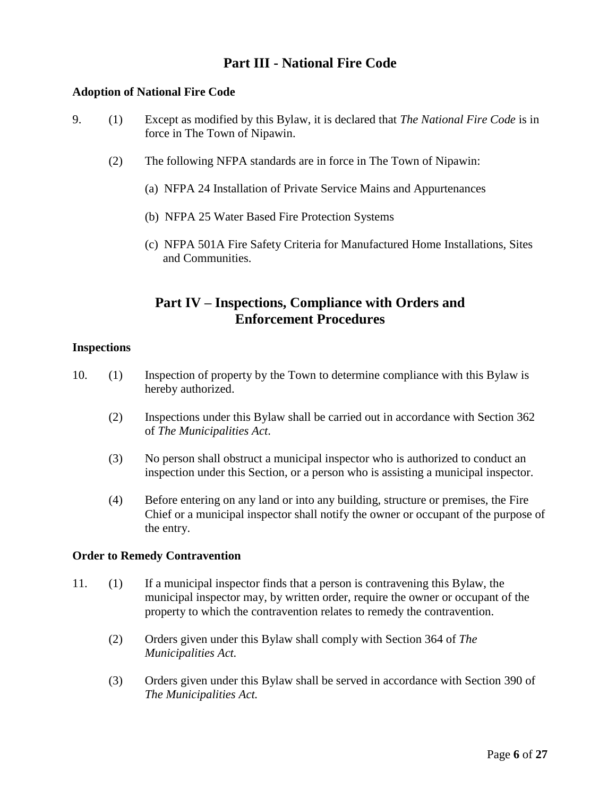# **Part III - National Fire Code**

## **Adoption of National Fire Code**

- 9. (1) Except as modified by this Bylaw, it is declared that *The National Fire Code* is in force in The Town of Nipawin.
	- (2) The following NFPA standards are in force in The Town of Nipawin:
		- (a) NFPA 24 Installation of Private Service Mains and Appurtenances
		- (b) NFPA 25 Water Based Fire Protection Systems
		- (c) NFPA 501A Fire Safety Criteria for Manufactured Home Installations, Sites and Communities.

# **Part IV – Inspections, Compliance with Orders and Enforcement Procedures**

#### **Inspections**

- 10. (1) Inspection of property by the Town to determine compliance with this Bylaw is hereby authorized.
	- (2) Inspections under this Bylaw shall be carried out in accordance with Section 362 of *The Municipalities Act*.
	- (3) No person shall obstruct a municipal inspector who is authorized to conduct an inspection under this Section, or a person who is assisting a municipal inspector.
	- (4) Before entering on any land or into any building, structure or premises, the Fire Chief or a municipal inspector shall notify the owner or occupant of the purpose of the entry.

#### **Order to Remedy Contravention**

- 11. (1) If a municipal inspector finds that a person is contravening this Bylaw, the municipal inspector may, by written order, require the owner or occupant of the property to which the contravention relates to remedy the contravention.
	- (2) Orders given under this Bylaw shall comply with Section 364 of *The Municipalities Act.*
	- (3) Orders given under this Bylaw shall be served in accordance with Section 390 of *The Municipalities Act.*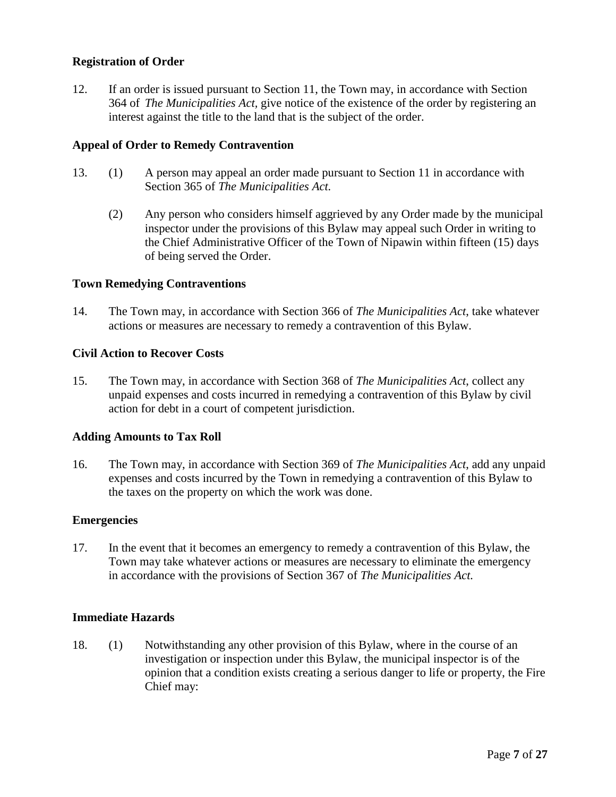# **Registration of Order**

12. If an order is issued pursuant to Section 11, the Town may, in accordance with Section 364 of *The Municipalities Act,* give notice of the existence of the order by registering an interest against the title to the land that is the subject of the order.

### **Appeal of Order to Remedy Contravention**

- 13. (1) A person may appeal an order made pursuant to Section 11 in accordance with Section 365 of *The Municipalities Act.* 
	- (2) Any person who considers himself aggrieved by any Order made by the municipal inspector under the provisions of this Bylaw may appeal such Order in writing to the Chief Administrative Officer of the Town of Nipawin within fifteen (15) days of being served the Order.

#### **Town Remedying Contraventions**

14. The Town may, in accordance with Section 366 of *The Municipalities Act*, take whatever actions or measures are necessary to remedy a contravention of this Bylaw.

#### **Civil Action to Recover Costs**

15. The Town may, in accordance with Section 368 of *The Municipalities Act*, collect any unpaid expenses and costs incurred in remedying a contravention of this Bylaw by civil action for debt in a court of competent jurisdiction.

#### **Adding Amounts to Tax Roll**

16. The Town may, in accordance with Section 369 of *The Municipalities Act*, add any unpaid expenses and costs incurred by the Town in remedying a contravention of this Bylaw to the taxes on the property on which the work was done.

#### **Emergencies**

17. In the event that it becomes an emergency to remedy a contravention of this Bylaw, the Town may take whatever actions or measures are necessary to eliminate the emergency in accordance with the provisions of Section 367 of *The Municipalities Act.* 

#### **Immediate Hazards**

18. (1) Notwithstanding any other provision of this Bylaw, where in the course of an investigation or inspection under this Bylaw, the municipal inspector is of the opinion that a condition exists creating a serious danger to life or property, the Fire Chief may: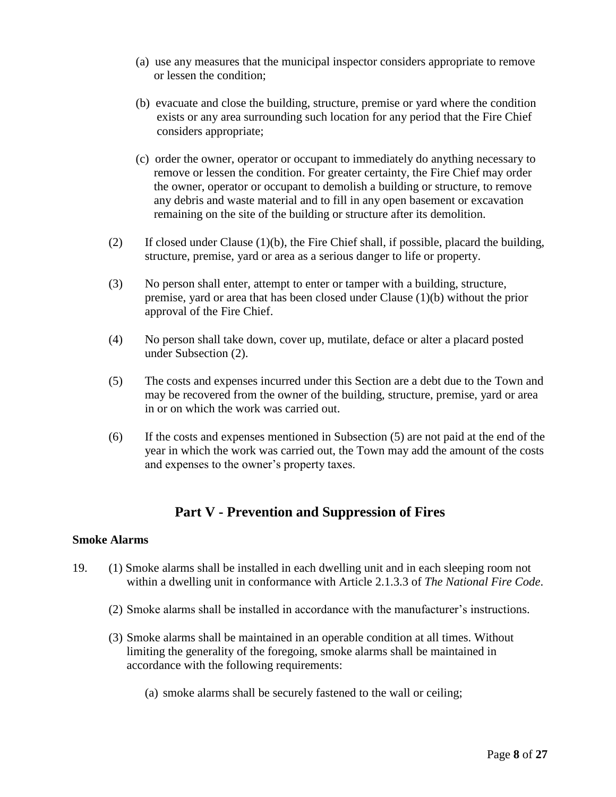- (a) use any measures that the municipal inspector considers appropriate to remove or lessen the condition;
- (b) evacuate and close the building, structure, premise or yard where the condition exists or any area surrounding such location for any period that the Fire Chief considers appropriate;
- (c) order the owner, operator or occupant to immediately do anything necessary to remove or lessen the condition. For greater certainty, the Fire Chief may order the owner, operator or occupant to demolish a building or structure, to remove any debris and waste material and to fill in any open basement or excavation remaining on the site of the building or structure after its demolition.
- (2) If closed under Clause (1)(b), the Fire Chief shall, if possible, placard the building, structure, premise, yard or area as a serious danger to life or property.
- (3) No person shall enter, attempt to enter or tamper with a building, structure, premise, yard or area that has been closed under Clause (1)(b) without the prior approval of the Fire Chief.
- (4) No person shall take down, cover up, mutilate, deface or alter a placard posted under Subsection (2).
- (5) The costs and expenses incurred under this Section are a debt due to the Town and may be recovered from the owner of the building, structure, premise, yard or area in or on which the work was carried out.
- (6) If the costs and expenses mentioned in Subsection (5) are not paid at the end of the year in which the work was carried out, the Town may add the amount of the costs and expenses to the owner's property taxes.

# **Part V - Prevention and Suppression of Fires**

### **Smoke Alarms**

- 19. (1) Smoke alarms shall be installed in each dwelling unit and in each sleeping room not within a dwelling unit in conformance with Article 2.1.3.3 of *The National Fire Code*.
	- (2) Smoke alarms shall be installed in accordance with the manufacturer's instructions.
	- (3) Smoke alarms shall be maintained in an operable condition at all times. Without limiting the generality of the foregoing, smoke alarms shall be maintained in accordance with the following requirements:
		- (a) smoke alarms shall be securely fastened to the wall or ceiling;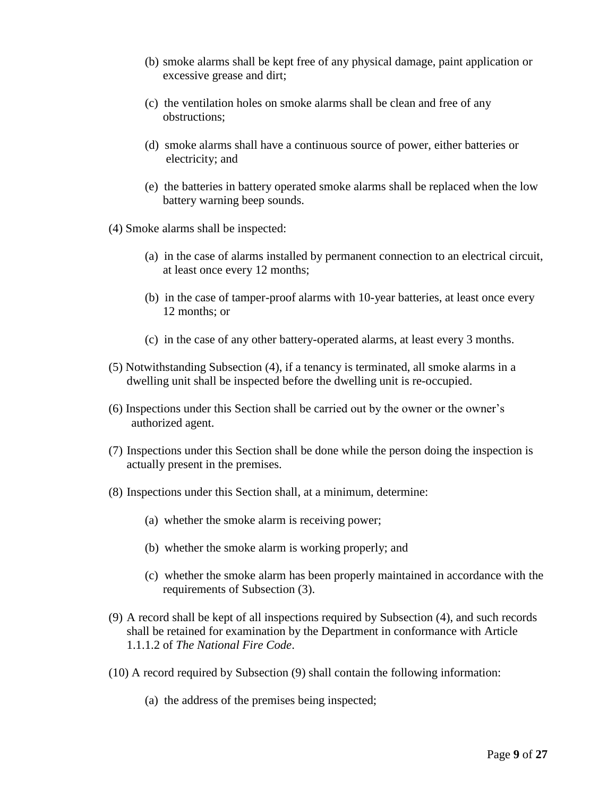- (b) smoke alarms shall be kept free of any physical damage, paint application or excessive grease and dirt;
- (c) the ventilation holes on smoke alarms shall be clean and free of any obstructions;
- (d) smoke alarms shall have a continuous source of power, either batteries or electricity; and
- (e) the batteries in battery operated smoke alarms shall be replaced when the low battery warning beep sounds.
- (4) Smoke alarms shall be inspected:
	- (a) in the case of alarms installed by permanent connection to an electrical circuit, at least once every 12 months;
	- (b) in the case of tamper-proof alarms with 10-year batteries, at least once every 12 months; or
	- (c) in the case of any other battery-operated alarms, at least every 3 months.
- (5) Notwithstanding Subsection (4), if a tenancy is terminated, all smoke alarms in a dwelling unit shall be inspected before the dwelling unit is re-occupied.
- (6) Inspections under this Section shall be carried out by the owner or the owner's authorized agent.
- (7) Inspections under this Section shall be done while the person doing the inspection is actually present in the premises.
- (8) Inspections under this Section shall, at a minimum, determine:
	- (a) whether the smoke alarm is receiving power;
	- (b) whether the smoke alarm is working properly; and
	- (c) whether the smoke alarm has been properly maintained in accordance with the requirements of Subsection (3).
- (9) A record shall be kept of all inspections required by Subsection (4), and such records shall be retained for examination by the Department in conformance with Article 1.1.1.2 of *The National Fire Code*.
- (10) A record required by Subsection (9) shall contain the following information:
	- (a) the address of the premises being inspected;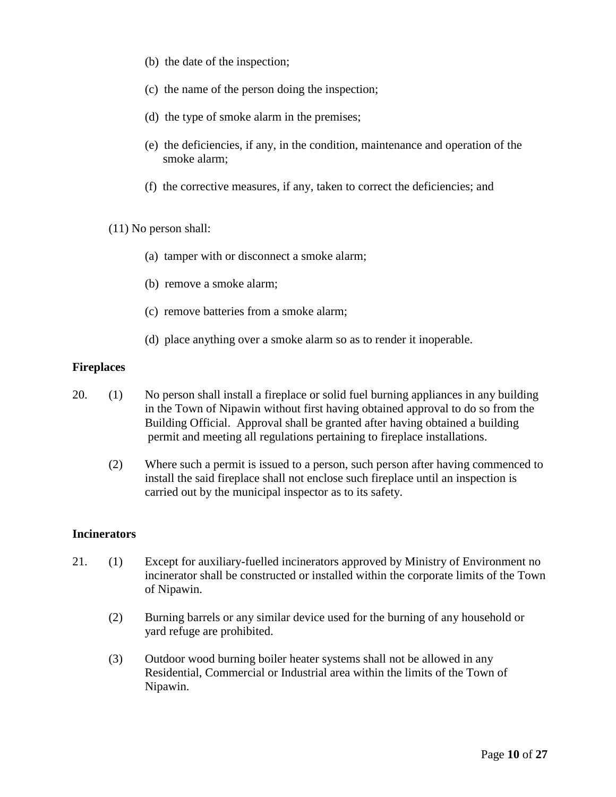- (b) the date of the inspection;
- (c) the name of the person doing the inspection;
- (d) the type of smoke alarm in the premises;
- (e) the deficiencies, if any, in the condition, maintenance and operation of the smoke alarm;
- (f) the corrective measures, if any, taken to correct the deficiencies; and
- (11) No person shall:
	- (a) tamper with or disconnect a smoke alarm;
	- (b) remove a smoke alarm;
	- (c) remove batteries from a smoke alarm;
	- (d) place anything over a smoke alarm so as to render it inoperable.

#### **Fireplaces**

- 20. (1) No person shall install a fireplace or solid fuel burning appliances in any building in the Town of Nipawin without first having obtained approval to do so from the Building Official. Approval shall be granted after having obtained a building permit and meeting all regulations pertaining to fireplace installations.
	- (2) Where such a permit is issued to a person, such person after having commenced to install the said fireplace shall not enclose such fireplace until an inspection is carried out by the municipal inspector as to its safety.

### **Incinerators**

- 21. (1) Except for auxiliary-fuelled incinerators approved by Ministry of Environment no incinerator shall be constructed or installed within the corporate limits of the Town of Nipawin.
	- (2) Burning barrels or any similar device used for the burning of any household or yard refuge are prohibited.
	- (3) Outdoor wood burning boiler heater systems shall not be allowed in any Residential, Commercial or Industrial area within the limits of the Town of Nipawin.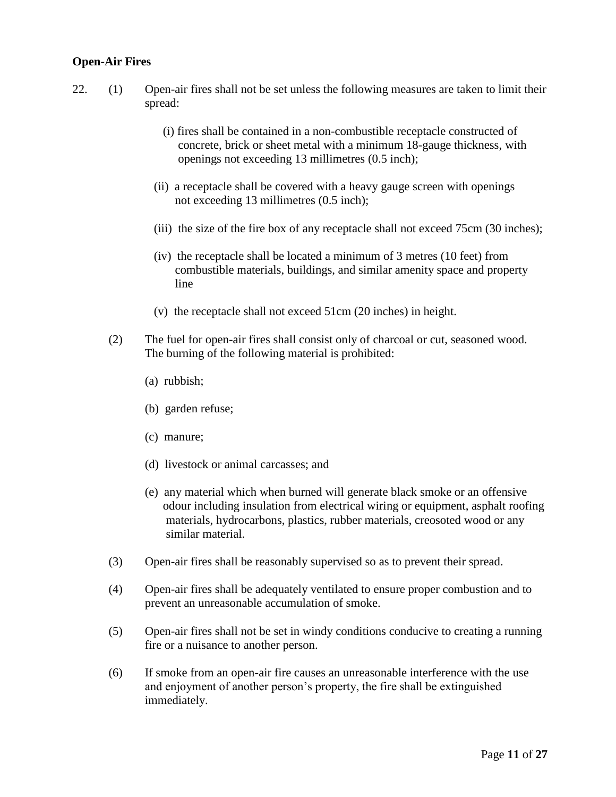## **Open-Air Fires**

- 22. (1) Open-air fires shall not be set unless the following measures are taken to limit their spread:
	- (i) fires shall be contained in a non-combustible receptacle constructed of concrete, brick or sheet metal with a minimum 18-gauge thickness, with openings not exceeding 13 millimetres (0.5 inch);
	- (ii) a receptacle shall be covered with a heavy gauge screen with openings not exceeding 13 millimetres (0.5 inch);
	- (iii) the size of the fire box of any receptacle shall not exceed 75cm (30 inches);
	- (iv) the receptacle shall be located a minimum of 3 metres (10 feet) from combustible materials, buildings, and similar amenity space and property line
	- (v) the receptacle shall not exceed 51cm (20 inches) in height.
	- (2) The fuel for open-air fires shall consist only of charcoal or cut, seasoned wood. The burning of the following material is prohibited:
		- (a) rubbish;
		- (b) garden refuse;
		- (c) manure;
		- (d) livestock or animal carcasses; and
		- (e) any material which when burned will generate black smoke or an offensive odour including insulation from electrical wiring or equipment, asphalt roofing materials, hydrocarbons, plastics, rubber materials, creosoted wood or any similar material.
	- (3) Open-air fires shall be reasonably supervised so as to prevent their spread.
	- (4) Open-air fires shall be adequately ventilated to ensure proper combustion and to prevent an unreasonable accumulation of smoke.
	- (5) Open-air fires shall not be set in windy conditions conducive to creating a running fire or a nuisance to another person.
	- (6) If smoke from an open-air fire causes an unreasonable interference with the use and enjoyment of another person's property, the fire shall be extinguished immediately.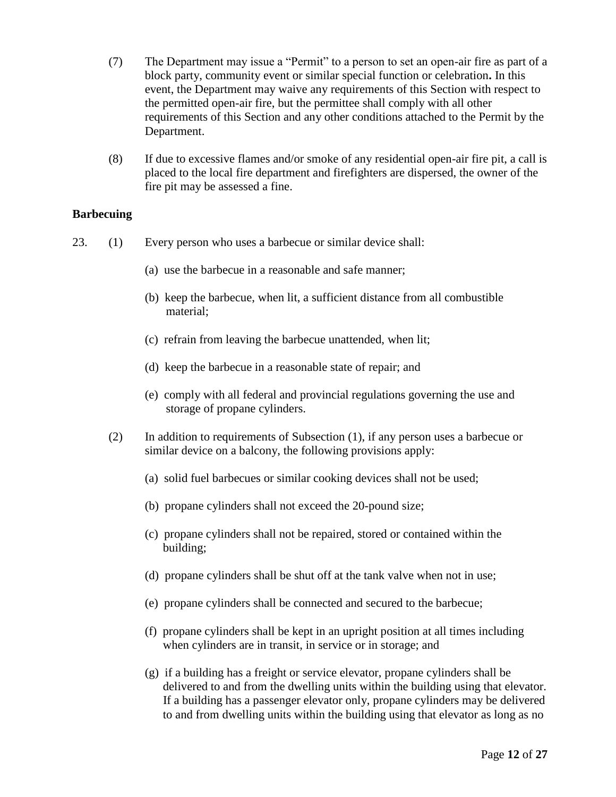- (7) The Department may issue a "Permit" to a person to set an open-air fire as part of a block party, community event or similar special function or celebration**.** In this event, the Department may waive any requirements of this Section with respect to the permitted open-air fire, but the permittee shall comply with all other requirements of this Section and any other conditions attached to the Permit by the Department.
- (8) If due to excessive flames and/or smoke of any residential open-air fire pit, a call is placed to the local fire department and firefighters are dispersed, the owner of the fire pit may be assessed a fine.

### **Barbecuing**

- 23. (1) Every person who uses a barbecue or similar device shall:
	- (a) use the barbecue in a reasonable and safe manner;
	- (b) keep the barbecue, when lit, a sufficient distance from all combustible material;
	- (c) refrain from leaving the barbecue unattended, when lit;
	- (d) keep the barbecue in a reasonable state of repair; and
	- (e) comply with all federal and provincial regulations governing the use and storage of propane cylinders.
	- (2) In addition to requirements of Subsection (1), if any person uses a barbecue or similar device on a balcony, the following provisions apply:
		- (a) solid fuel barbecues or similar cooking devices shall not be used;
		- (b) propane cylinders shall not exceed the 20-pound size;
		- (c) propane cylinders shall not be repaired, stored or contained within the building;
		- (d) propane cylinders shall be shut off at the tank valve when not in use;
		- (e) propane cylinders shall be connected and secured to the barbecue;
		- (f) propane cylinders shall be kept in an upright position at all times including when cylinders are in transit, in service or in storage; and
		- (g) if a building has a freight or service elevator, propane cylinders shall be delivered to and from the dwelling units within the building using that elevator. If a building has a passenger elevator only, propane cylinders may be delivered to and from dwelling units within the building using that elevator as long as no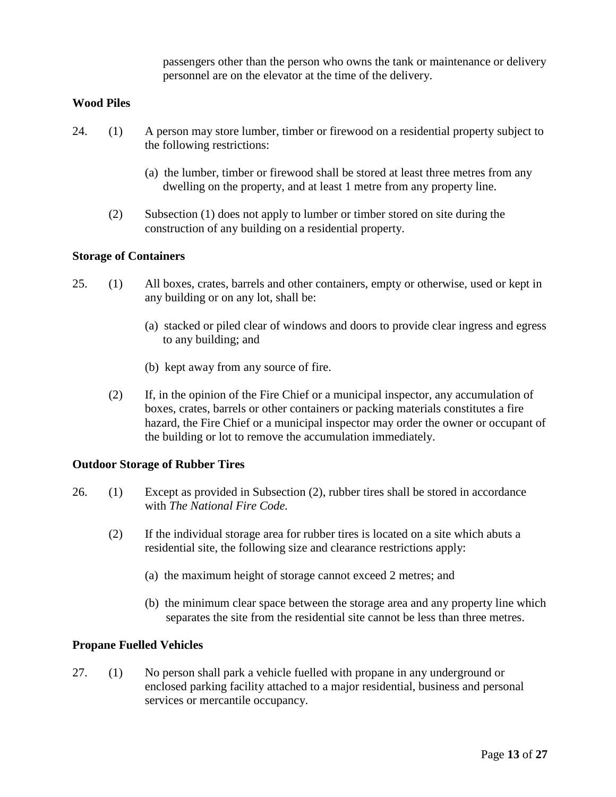passengers other than the person who owns the tank or maintenance or delivery personnel are on the elevator at the time of the delivery.

### **Wood Piles**

- 24. (1) A person may store lumber, timber or firewood on a residential property subject to the following restrictions:
	- (a) the lumber, timber or firewood shall be stored at least three metres from any dwelling on the property, and at least 1 metre from any property line.
	- (2) Subsection (1) does not apply to lumber or timber stored on site during the construction of any building on a residential property.

#### **Storage of Containers**

- 25. (1) All boxes, crates, barrels and other containers, empty or otherwise, used or kept in any building or on any lot, shall be:
	- (a) stacked or piled clear of windows and doors to provide clear ingress and egress to any building; and
	- (b) kept away from any source of fire.
	- (2) If, in the opinion of the Fire Chief or a municipal inspector, any accumulation of boxes, crates, barrels or other containers or packing materials constitutes a fire hazard, the Fire Chief or a municipal inspector may order the owner or occupant of the building or lot to remove the accumulation immediately.

#### **Outdoor Storage of Rubber Tires**

- 26. (1) Except as provided in Subsection (2), rubber tires shall be stored in accordance with *The National Fire Code.* 
	- (2) If the individual storage area for rubber tires is located on a site which abuts a residential site, the following size and clearance restrictions apply:
		- (a) the maximum height of storage cannot exceed 2 metres; and
		- (b) the minimum clear space between the storage area and any property line which separates the site from the residential site cannot be less than three metres.

#### **Propane Fuelled Vehicles**

27. (1) No person shall park a vehicle fuelled with propane in any underground or enclosed parking facility attached to a major residential, business and personal services or mercantile occupancy.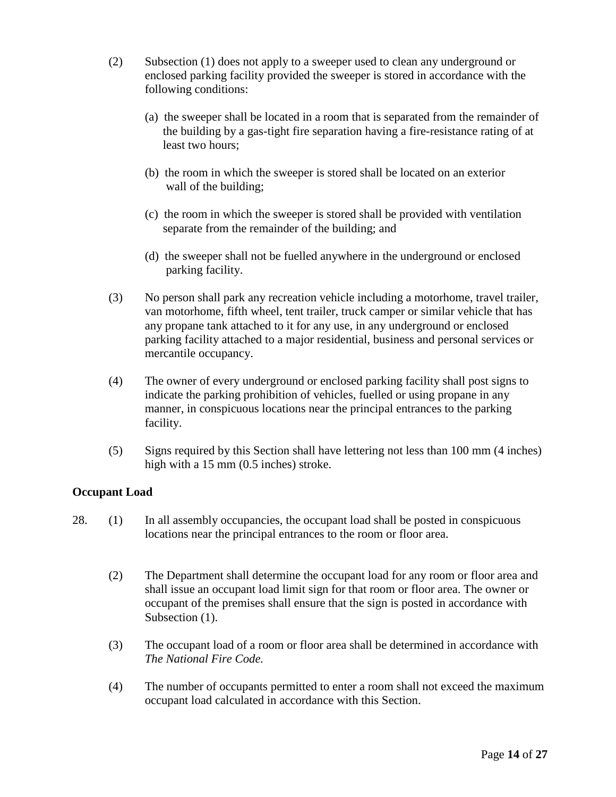- (2) Subsection (1) does not apply to a sweeper used to clean any underground or enclosed parking facility provided the sweeper is stored in accordance with the following conditions:
	- (a) the sweeper shall be located in a room that is separated from the remainder of the building by a gas-tight fire separation having a fire-resistance rating of at least two hours;
	- (b) the room in which the sweeper is stored shall be located on an exterior wall of the building;
	- (c) the room in which the sweeper is stored shall be provided with ventilation separate from the remainder of the building; and
	- (d) the sweeper shall not be fuelled anywhere in the underground or enclosed parking facility.
- (3) No person shall park any recreation vehicle including a motorhome, travel trailer, van motorhome, fifth wheel, tent trailer, truck camper or similar vehicle that has any propane tank attached to it for any use, in any underground or enclosed parking facility attached to a major residential, business and personal services or mercantile occupancy.
- (4) The owner of every underground or enclosed parking facility shall post signs to indicate the parking prohibition of vehicles, fuelled or using propane in any manner, in conspicuous locations near the principal entrances to the parking facility.
- (5) Signs required by this Section shall have lettering not less than 100 mm (4 inches) high with a 15 mm (0.5 inches) stroke.

# **Occupant Load**

- 28. (1) In all assembly occupancies, the occupant load shall be posted in conspicuous locations near the principal entrances to the room or floor area.
	- (2) The Department shall determine the occupant load for any room or floor area and shall issue an occupant load limit sign for that room or floor area. The owner or occupant of the premises shall ensure that the sign is posted in accordance with Subsection  $(1)$ .
	- (3) The occupant load of a room or floor area shall be determined in accordance with *The National Fire Code.*
	- (4) The number of occupants permitted to enter a room shall not exceed the maximum occupant load calculated in accordance with this Section.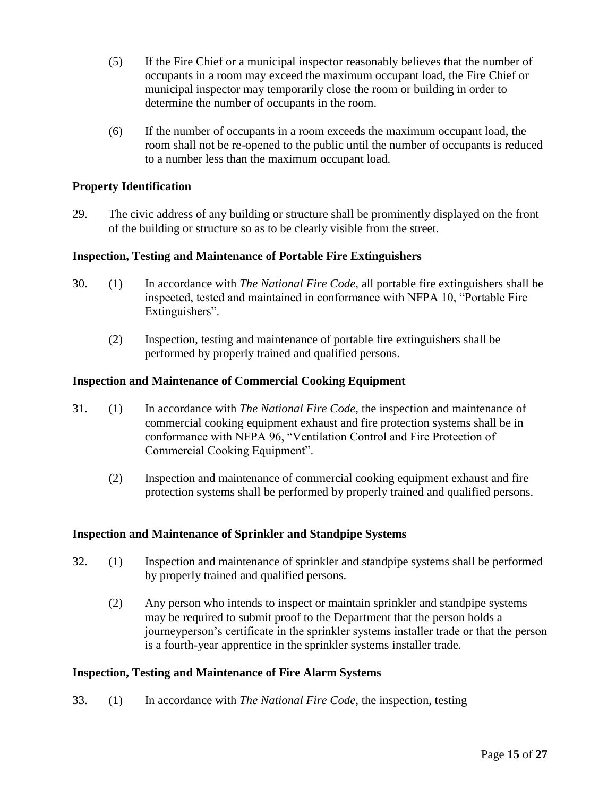- (5) If the Fire Chief or a municipal inspector reasonably believes that the number of occupants in a room may exceed the maximum occupant load, the Fire Chief or municipal inspector may temporarily close the room or building in order to determine the number of occupants in the room.
- (6) If the number of occupants in a room exceeds the maximum occupant load, the room shall not be re-opened to the public until the number of occupants is reduced to a number less than the maximum occupant load.

# **Property Identification**

29. The civic address of any building or structure shall be prominently displayed on the front of the building or structure so as to be clearly visible from the street.

### **Inspection, Testing and Maintenance of Portable Fire Extinguishers**

- 30. (1) In accordance with *The National Fire Code,* all portable fire extinguishers shall be inspected, tested and maintained in conformance with NFPA 10, "Portable Fire Extinguishers".
	- (2) Inspection, testing and maintenance of portable fire extinguishers shall be performed by properly trained and qualified persons.

### **Inspection and Maintenance of Commercial Cooking Equipment**

- 31. (1) In accordance with *The National Fire Code,* the inspection and maintenance of commercial cooking equipment exhaust and fire protection systems shall be in conformance with NFPA 96, "Ventilation Control and Fire Protection of Commercial Cooking Equipment".
	- (2) Inspection and maintenance of commercial cooking equipment exhaust and fire protection systems shall be performed by properly trained and qualified persons.

### **Inspection and Maintenance of Sprinkler and Standpipe Systems**

- 32. (1) Inspection and maintenance of sprinkler and standpipe systems shall be performed by properly trained and qualified persons.
	- (2) Any person who intends to inspect or maintain sprinkler and standpipe systems may be required to submit proof to the Department that the person holds a journeyperson's certificate in the sprinkler systems installer trade or that the person is a fourth-year apprentice in the sprinkler systems installer trade.

### **Inspection, Testing and Maintenance of Fire Alarm Systems**

33. (1) In accordance with *The National Fire Code*, the inspection, testing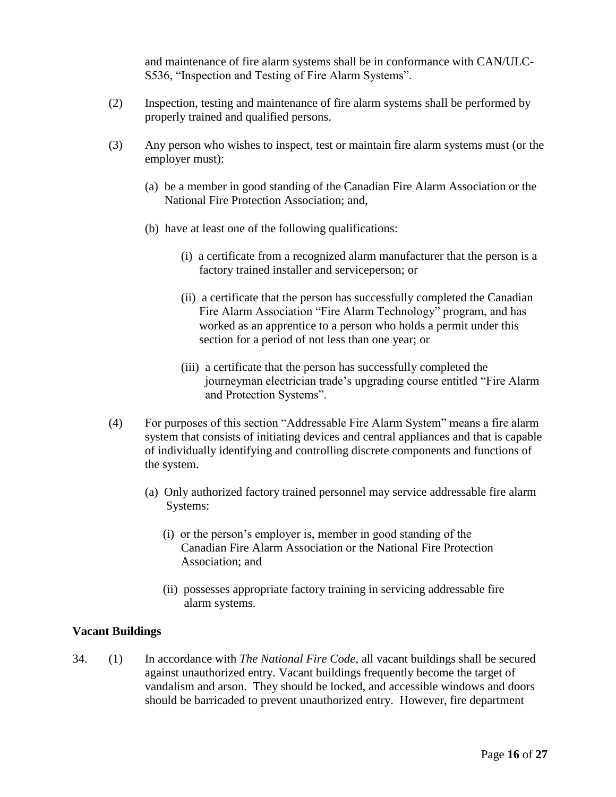and maintenance of fire alarm systems shall be in conformance with CAN/ULC-S536, "Inspection and Testing of Fire Alarm Systems".

- (2) Inspection, testing and maintenance of fire alarm systems shall be performed by properly trained and qualified persons.
- (3) Any person who wishes to inspect, test or maintain fire alarm systems must (or the employer must):
	- (a) be a member in good standing of the Canadian Fire Alarm Association or the National Fire Protection Association; and,
	- (b) have at least one of the following qualifications:
		- (i) a certificate from a recognized alarm manufacturer that the person is a factory trained installer and serviceperson; or
		- (ii) a certificate that the person has successfully completed the Canadian Fire Alarm Association "Fire Alarm Technology" program, and has worked as an apprentice to a person who holds a permit under this section for a period of not less than one year; or
		- (iii) a certificate that the person has successfully completed the journeyman electrician trade's upgrading course entitled "Fire Alarm and Protection Systems".
- (4) For purposes of this section "Addressable Fire Alarm System" means a fire alarm system that consists of initiating devices and central appliances and that is capable of individually identifying and controlling discrete components and functions of the system.
	- (a) Only authorized factory trained personnel may service addressable fire alarm Systems:
		- (i) or the person's employer is, member in good standing of the Canadian Fire Alarm Association or the National Fire Protection Association; and
		- (ii) possesses appropriate factory training in servicing addressable fire alarm systems.

### **Vacant Buildings**

34. (1) In accordance with *The National Fire Code,* all vacant buildings shall be secured against unauthorized entry. Vacant buildings frequently become the target of vandalism and arson. They should be locked, and accessible windows and doors should be barricaded to prevent unauthorized entry. However, fire department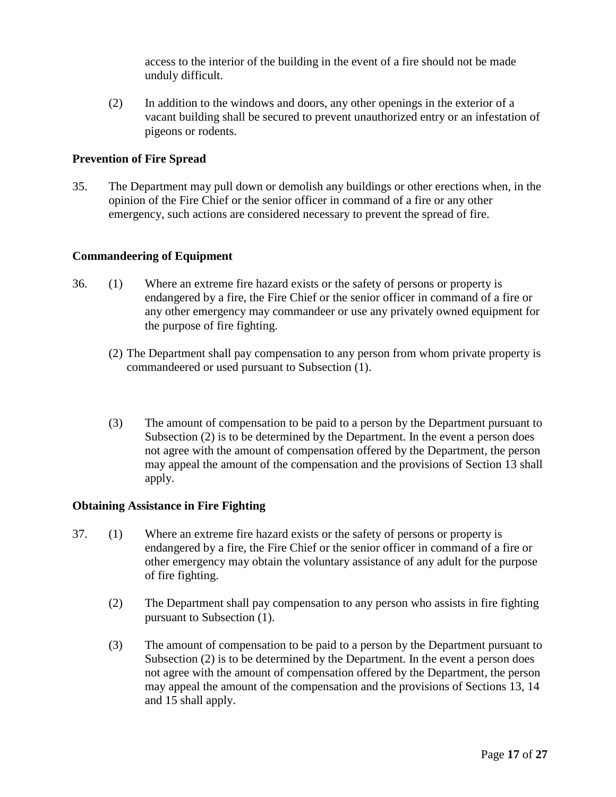access to the interior of the building in the event of a fire should not be made unduly difficult.

(2) In addition to the windows and doors, any other openings in the exterior of a vacant building shall be secured to prevent unauthorized entry or an infestation of pigeons or rodents.

# **Prevention of Fire Spread**

35. The Department may pull down or demolish any buildings or other erections when, in the opinion of the Fire Chief or the senior officer in command of a fire or any other emergency, such actions are considered necessary to prevent the spread of fire.

### **Commandeering of Equipment**

- 36. (1) Where an extreme fire hazard exists or the safety of persons or property is endangered by a fire, the Fire Chief or the senior officer in command of a fire or any other emergency may commandeer or use any privately owned equipment for the purpose of fire fighting.
	- (2) The Department shall pay compensation to any person from whom private property is commandeered or used pursuant to Subsection (1).
	- (3) The amount of compensation to be paid to a person by the Department pursuant to Subsection (2) is to be determined by the Department. In the event a person does not agree with the amount of compensation offered by the Department, the person may appeal the amount of the compensation and the provisions of Section 13 shall apply.

### **Obtaining Assistance in Fire Fighting**

- 37. (1) Where an extreme fire hazard exists or the safety of persons or property is endangered by a fire, the Fire Chief or the senior officer in command of a fire or other emergency may obtain the voluntary assistance of any adult for the purpose of fire fighting.
	- (2) The Department shall pay compensation to any person who assists in fire fighting pursuant to Subsection (1).
	- (3) The amount of compensation to be paid to a person by the Department pursuant to Subsection (2) is to be determined by the Department. In the event a person does not agree with the amount of compensation offered by the Department, the person may appeal the amount of the compensation and the provisions of Sections 13, 14 and 15 shall apply.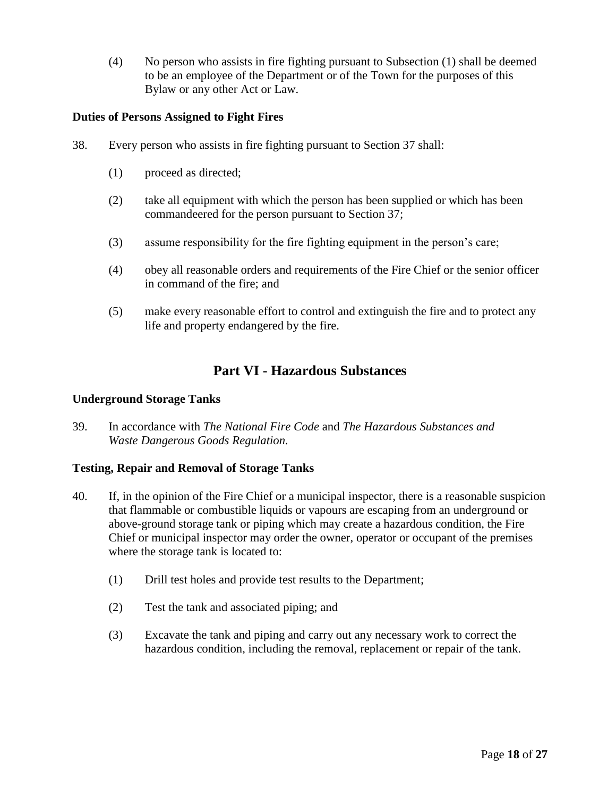(4) No person who assists in fire fighting pursuant to Subsection (1) shall be deemed to be an employee of the Department or of the Town for the purposes of this Bylaw or any other Act or Law.

# **Duties of Persons Assigned to Fight Fires**

- 38. Every person who assists in fire fighting pursuant to Section 37 shall:
	- (1) proceed as directed;
	- (2) take all equipment with which the person has been supplied or which has been commandeered for the person pursuant to Section 37;
	- (3) assume responsibility for the fire fighting equipment in the person's care;
	- (4) obey all reasonable orders and requirements of the Fire Chief or the senior officer in command of the fire; and
	- (5) make every reasonable effort to control and extinguish the fire and to protect any life and property endangered by the fire.

# **Part VI - Hazardous Substances**

### **Underground Storage Tanks**

39. In accordance with *The National Fire Code* and *The Hazardous Substances and Waste Dangerous Goods Regulation.*

### **Testing, Repair and Removal of Storage Tanks**

- 40. If, in the opinion of the Fire Chief or a municipal inspector, there is a reasonable suspicion that flammable or combustible liquids or vapours are escaping from an underground or above-ground storage tank or piping which may create a hazardous condition, the Fire Chief or municipal inspector may order the owner, operator or occupant of the premises where the storage tank is located to:
	- (1) Drill test holes and provide test results to the Department;
	- (2) Test the tank and associated piping; and
	- (3) Excavate the tank and piping and carry out any necessary work to correct the hazardous condition, including the removal, replacement or repair of the tank.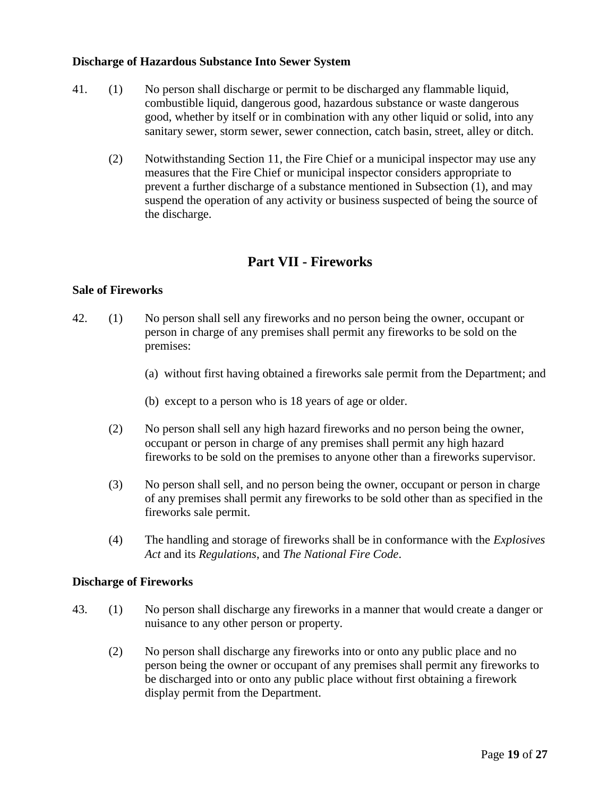#### **Discharge of Hazardous Substance Into Sewer System**

- 41. (1) No person shall discharge or permit to be discharged any flammable liquid, combustible liquid, dangerous good, hazardous substance or waste dangerous good, whether by itself or in combination with any other liquid or solid, into any sanitary sewer, storm sewer, sewer connection, catch basin, street, alley or ditch.
	- (2) Notwithstanding Section 11, the Fire Chief or a municipal inspector may use any measures that the Fire Chief or municipal inspector considers appropriate to prevent a further discharge of a substance mentioned in Subsection (1), and may suspend the operation of any activity or business suspected of being the source of the discharge.

# **Part VII - Fireworks**

### **Sale of Fireworks**

- 42. (1) No person shall sell any fireworks and no person being the owner, occupant or person in charge of any premises shall permit any fireworks to be sold on the premises:
	- (a) without first having obtained a fireworks sale permit from the Department; and
	- (b) except to a person who is 18 years of age or older.
	- (2) No person shall sell any high hazard fireworks and no person being the owner, occupant or person in charge of any premises shall permit any high hazard fireworks to be sold on the premises to anyone other than a fireworks supervisor.
	- (3) No person shall sell, and no person being the owner, occupant or person in charge of any premises shall permit any fireworks to be sold other than as specified in the fireworks sale permit.
	- (4) The handling and storage of fireworks shall be in conformance with the *Explosives Act* and its *Regulations*, and *The National Fire Code*.

#### **Discharge of Fireworks**

- 43. (1) No person shall discharge any fireworks in a manner that would create a danger or nuisance to any other person or property.
	- (2) No person shall discharge any fireworks into or onto any public place and no person being the owner or occupant of any premises shall permit any fireworks to be discharged into or onto any public place without first obtaining a firework display permit from the Department.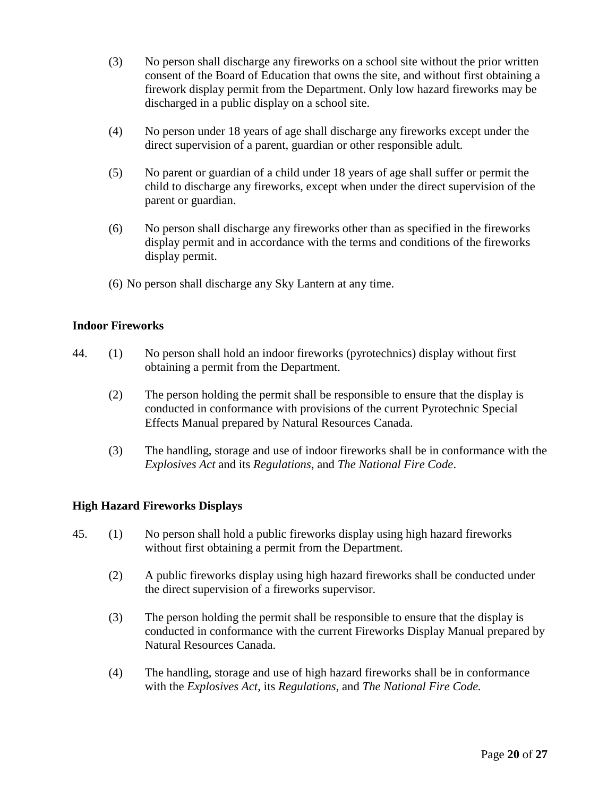- (3) No person shall discharge any fireworks on a school site without the prior written consent of the Board of Education that owns the site, and without first obtaining a firework display permit from the Department. Only low hazard fireworks may be discharged in a public display on a school site.
- (4) No person under 18 years of age shall discharge any fireworks except under the direct supervision of a parent, guardian or other responsible adult.
- (5) No parent or guardian of a child under 18 years of age shall suffer or permit the child to discharge any fireworks, except when under the direct supervision of the parent or guardian.
- (6) No person shall discharge any fireworks other than as specified in the fireworks display permit and in accordance with the terms and conditions of the fireworks display permit.
- (6) No person shall discharge any Sky Lantern at any time.

### **Indoor Fireworks**

- 44. (1) No person shall hold an indoor fireworks (pyrotechnics) display without first obtaining a permit from the Department.
	- (2) The person holding the permit shall be responsible to ensure that the display is conducted in conformance with provisions of the current Pyrotechnic Special Effects Manual prepared by Natural Resources Canada.
	- (3) The handling, storage and use of indoor fireworks shall be in conformance with the *Explosives Act* and its *Regulations*, and *The National Fire Code*.

### **High Hazard Fireworks Displays**

- 45. (1) No person shall hold a public fireworks display using high hazard fireworks without first obtaining a permit from the Department.
	- (2) A public fireworks display using high hazard fireworks shall be conducted under the direct supervision of a fireworks supervisor.
	- (3) The person holding the permit shall be responsible to ensure that the display is conducted in conformance with the current Fireworks Display Manual prepared by Natural Resources Canada.
	- (4) The handling, storage and use of high hazard fireworks shall be in conformance with the *Explosives Act*, its *Regulations*, and *The National Fire Code.*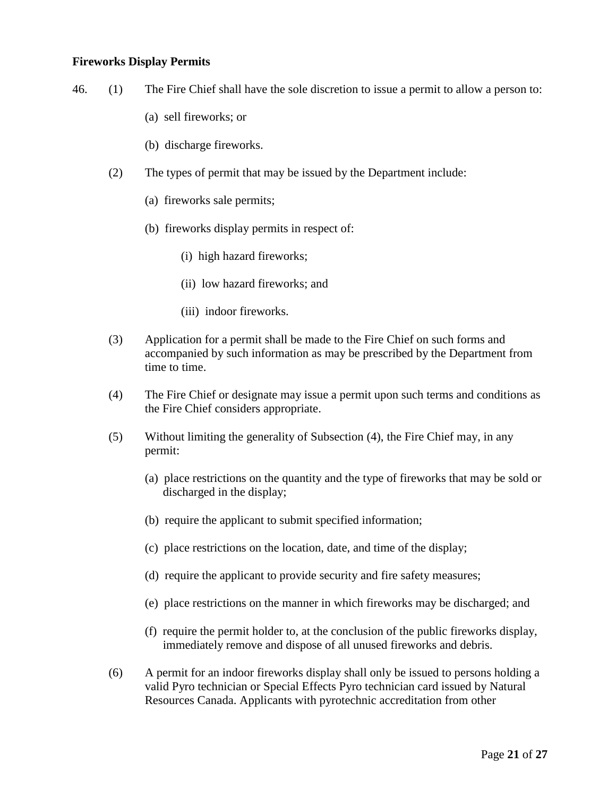#### **Fireworks Display Permits**

- 46. (1) The Fire Chief shall have the sole discretion to issue a permit to allow a person to:
	- (a) sell fireworks; or
	- (b) discharge fireworks.
	- (2) The types of permit that may be issued by the Department include:
		- (a) fireworks sale permits;
		- (b) fireworks display permits in respect of:
			- (i) high hazard fireworks;
			- (ii) low hazard fireworks; and
			- (iii) indoor fireworks.
	- (3) Application for a permit shall be made to the Fire Chief on such forms and accompanied by such information as may be prescribed by the Department from time to time.
	- (4) The Fire Chief or designate may issue a permit upon such terms and conditions as the Fire Chief considers appropriate.
	- (5) Without limiting the generality of Subsection (4), the Fire Chief may, in any permit:
		- (a) place restrictions on the quantity and the type of fireworks that may be sold or discharged in the display;
		- (b) require the applicant to submit specified information;
		- (c) place restrictions on the location, date, and time of the display;
		- (d) require the applicant to provide security and fire safety measures;
		- (e) place restrictions on the manner in which fireworks may be discharged; and
		- (f) require the permit holder to, at the conclusion of the public fireworks display, immediately remove and dispose of all unused fireworks and debris.
	- (6) A permit for an indoor fireworks display shall only be issued to persons holding a valid Pyro technician or Special Effects Pyro technician card issued by Natural Resources Canada. Applicants with pyrotechnic accreditation from other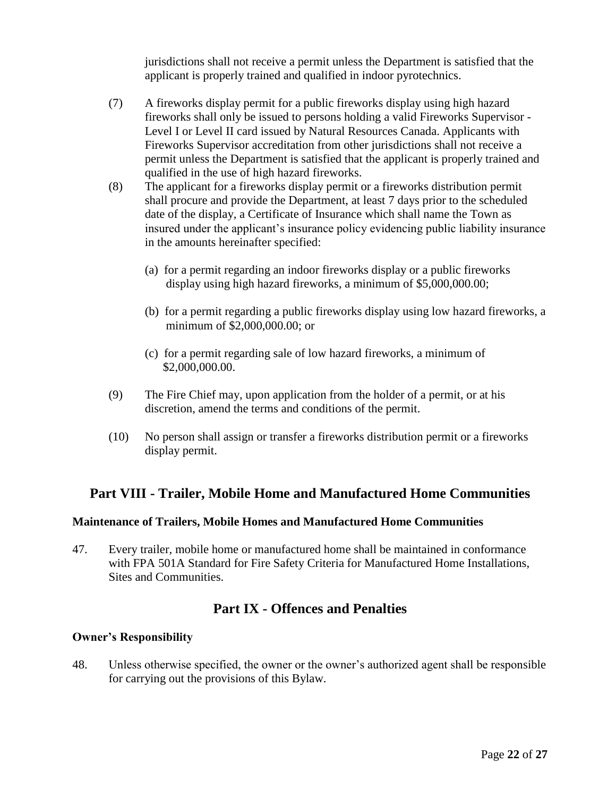jurisdictions shall not receive a permit unless the Department is satisfied that the applicant is properly trained and qualified in indoor pyrotechnics.

- (7) A fireworks display permit for a public fireworks display using high hazard fireworks shall only be issued to persons holding a valid Fireworks Supervisor - Level I or Level II card issued by Natural Resources Canada. Applicants with Fireworks Supervisor accreditation from other jurisdictions shall not receive a permit unless the Department is satisfied that the applicant is properly trained and qualified in the use of high hazard fireworks.
- (8) The applicant for a fireworks display permit or a fireworks distribution permit shall procure and provide the Department, at least 7 days prior to the scheduled date of the display, a Certificate of Insurance which shall name the Town as insured under the applicant's insurance policy evidencing public liability insurance in the amounts hereinafter specified:
	- (a) for a permit regarding an indoor fireworks display or a public fireworks display using high hazard fireworks, a minimum of \$5,000,000.00;
	- (b) for a permit regarding a public fireworks display using low hazard fireworks, a minimum of \$2,000,000.00; or
	- (c) for a permit regarding sale of low hazard fireworks, a minimum of \$2,000,000.00.
- (9) The Fire Chief may, upon application from the holder of a permit, or at his discretion, amend the terms and conditions of the permit.
- (10) No person shall assign or transfer a fireworks distribution permit or a fireworks display permit.

# **Part VIII - Trailer, Mobile Home and Manufactured Home Communities**

### **Maintenance of Trailers, Mobile Homes and Manufactured Home Communities**

47. Every trailer, mobile home or manufactured home shall be maintained in conformance with FPA 501A Standard for Fire Safety Criteria for Manufactured Home Installations, Sites and Communities.

# **Part IX - Offences and Penalties**

### **Owner's Responsibility**

48. Unless otherwise specified, the owner or the owner's authorized agent shall be responsible for carrying out the provisions of this Bylaw.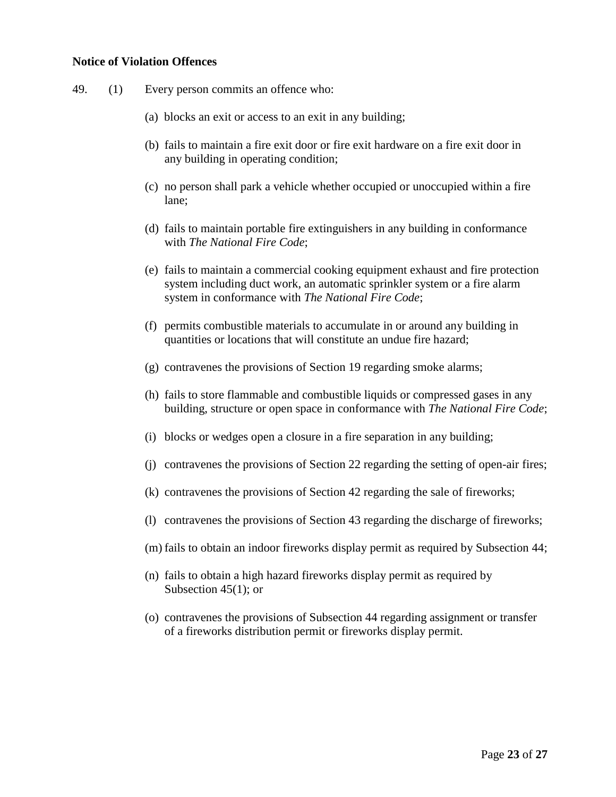#### **Notice of Violation Offences**

- 49. (1) Every person commits an offence who:
	- (a) blocks an exit or access to an exit in any building;
	- (b) fails to maintain a fire exit door or fire exit hardware on a fire exit door in any building in operating condition;
	- (c) no person shall park a vehicle whether occupied or unoccupied within a fire lane;
	- (d) fails to maintain portable fire extinguishers in any building in conformance with *The National Fire Code*;
	- (e) fails to maintain a commercial cooking equipment exhaust and fire protection system including duct work, an automatic sprinkler system or a fire alarm system in conformance with *The National Fire Code*;
	- (f) permits combustible materials to accumulate in or around any building in quantities or locations that will constitute an undue fire hazard;
	- (g) contravenes the provisions of Section 19 regarding smoke alarms;
	- (h) fails to store flammable and combustible liquids or compressed gases in any building, structure or open space in conformance with *The National Fire Code*;
	- (i) blocks or wedges open a closure in a fire separation in any building;
	- (j) contravenes the provisions of Section 22 regarding the setting of open-air fires;
	- (k) contravenes the provisions of Section 42 regarding the sale of fireworks;
	- (l) contravenes the provisions of Section 43 regarding the discharge of fireworks;
	- (m) fails to obtain an indoor fireworks display permit as required by Subsection 44;
	- (n) fails to obtain a high hazard fireworks display permit as required by Subsection 45(1); or
	- (o) contravenes the provisions of Subsection 44 regarding assignment or transfer of a fireworks distribution permit or fireworks display permit.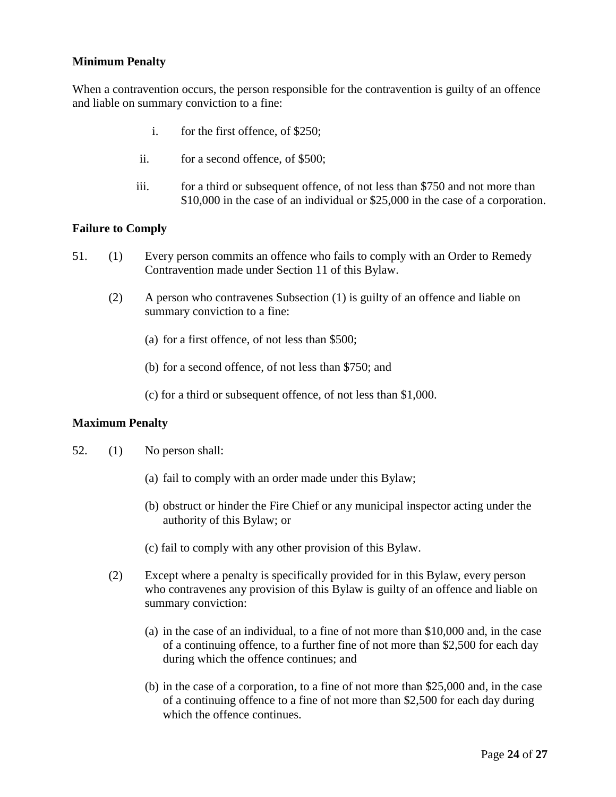# **Minimum Penalty**

When a contravention occurs, the person responsible for the contravention is guilty of an offence and liable on summary conviction to a fine:

- i. for the first offence, of \$250;
- ii. for a second offence, of \$500;
- iii. for a third or subsequent offence, of not less than \$750 and not more than \$10,000 in the case of an individual or \$25,000 in the case of a corporation.

#### **Failure to Comply**

- 51. (1) Every person commits an offence who fails to comply with an Order to Remedy Contravention made under Section 11 of this Bylaw.
	- (2) A person who contravenes Subsection (1) is guilty of an offence and liable on summary conviction to a fine:
		- (a) for a first offence, of not less than \$500;
		- (b) for a second offence, of not less than \$750; and
		- (c) for a third or subsequent offence, of not less than \$1,000.

#### **Maximum Penalty**

- 52. (1) No person shall:
	- (a) fail to comply with an order made under this Bylaw;
	- (b) obstruct or hinder the Fire Chief or any municipal inspector acting under the authority of this Bylaw; or
	- (c) fail to comply with any other provision of this Bylaw.
	- (2) Except where a penalty is specifically provided for in this Bylaw, every person who contravenes any provision of this Bylaw is guilty of an offence and liable on summary conviction:
		- (a) in the case of an individual, to a fine of not more than \$10,000 and, in the case of a continuing offence, to a further fine of not more than \$2,500 for each day during which the offence continues; and
		- (b) in the case of a corporation, to a fine of not more than \$25,000 and, in the case of a continuing offence to a fine of not more than \$2,500 for each day during which the offence continues.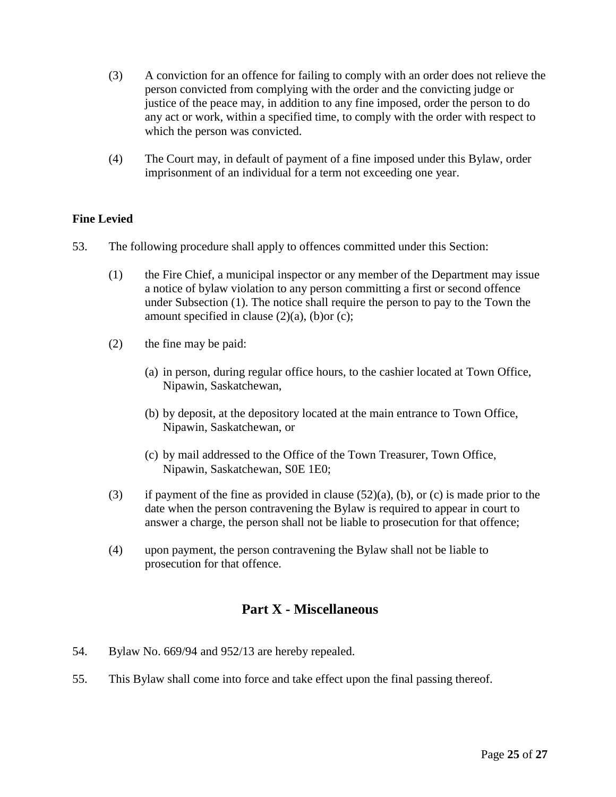- (3) A conviction for an offence for failing to comply with an order does not relieve the person convicted from complying with the order and the convicting judge or justice of the peace may, in addition to any fine imposed, order the person to do any act or work, within a specified time, to comply with the order with respect to which the person was convicted.
- (4) The Court may, in default of payment of a fine imposed under this Bylaw, order imprisonment of an individual for a term not exceeding one year.

# **Fine Levied**

- 53. The following procedure shall apply to offences committed under this Section:
	- (1) the Fire Chief, a municipal inspector or any member of the Department may issue a notice of bylaw violation to any person committing a first or second offence under Subsection (1). The notice shall require the person to pay to the Town the amount specified in clause  $(2)(a)$ ,  $(b)$ or  $(c)$ ;
	- (2) the fine may be paid:
		- (a) in person, during regular office hours, to the cashier located at Town Office, Nipawin, Saskatchewan,
		- (b) by deposit, at the depository located at the main entrance to Town Office, Nipawin, Saskatchewan, or
		- (c) by mail addressed to the Office of the Town Treasurer, Town Office, Nipawin, Saskatchewan, S0E 1E0;
	- (3) if payment of the fine as provided in clause  $(52)(a)$ , (b), or (c) is made prior to the date when the person contravening the Bylaw is required to appear in court to answer a charge, the person shall not be liable to prosecution for that offence;
	- (4) upon payment, the person contravening the Bylaw shall not be liable to prosecution for that offence.

# **Part X - Miscellaneous**

- 54. Bylaw No. 669/94 and 952/13 are hereby repealed.
- 55. This Bylaw shall come into force and take effect upon the final passing thereof.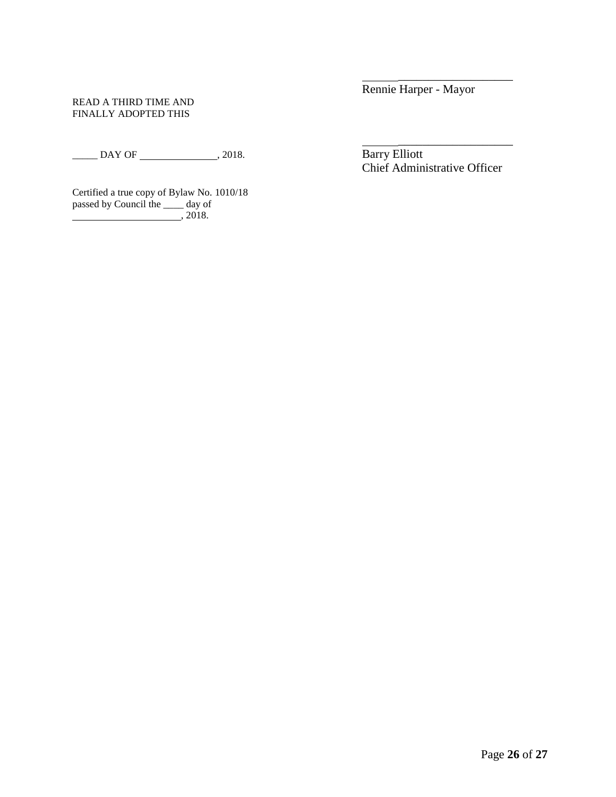#### READ A THIRD TIME AND FINALLY ADOPTED THIS

\_\_\_\_\_ DAY OF , 2018. Barry Elliott

Certified a true copy of Bylaw No. 1010/18 passed by Council the \_\_\_\_ day of , 2018.

Rennie Harper - Mayor

\_\_\_\_\_\_\_\_\_\_\_\_\_\_\_\_\_\_\_

\_\_\_\_\_\_\_\_\_\_\_\_\_\_\_\_\_\_\_ Chief Administrative Officer